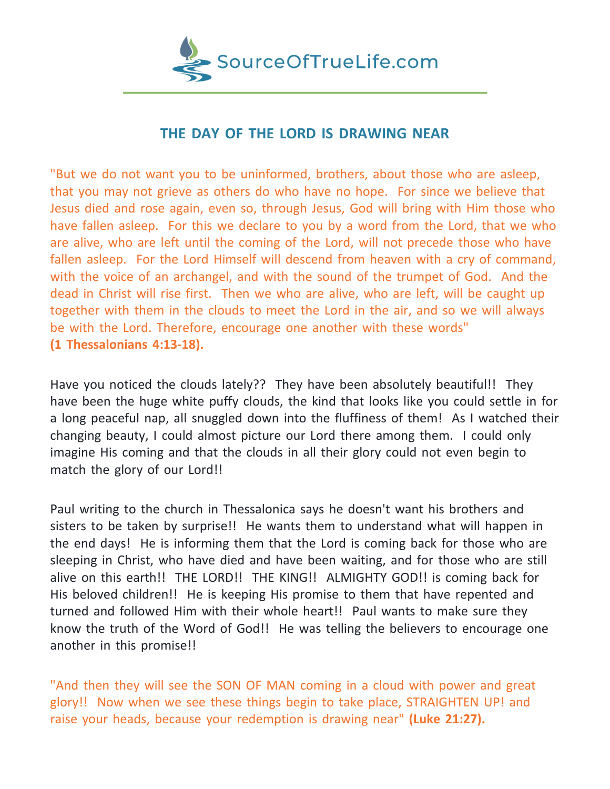

## **THE DAY OF THE LORD IS DRAWING NEAR**

"But we do not want you to be uninformed, brothers, about those who are asleep, that you may not grieve as others do who have no hope. For since we believe that Jesus died and rose again, even so, through Jesus, God will bring with Him those who have fallen asleep. For this we declare to you by a word from the Lord, that we who are alive, who are left until the coming of the Lord, will not precede those who have fallen asleep. For the Lord Himself will descend from heaven with a cry of command, with the voice of an archangel, and with the sound of the trumpet of God. And the dead in Christ will rise first. Then we who are alive, who are left, will be caught up together with them in the clouds to meet the Lord in the air, and so we will always be with the Lord. Therefore, encourage one another with these words" **(1 Thessalonians 4:13-18).**

Have you noticed the clouds lately?? They have been absolutely beautiful!! They have been the huge white puffy clouds, the kind that looks like you could settle in for a long peaceful nap, all snuggled down into the fluffiness of them! As I watched their changing beauty, I could almost picture our Lord there among them. I could only imagine His coming and that the clouds in all their glory could not even begin to match the glory of our Lord!!

Paul writing to the church in Thessalonica says he doesn't want his brothers and sisters to be taken by surprise!! He wants them to understand what will happen in the end days! He is informing them that the Lord is coming back for those who are sleeping in Christ, who have died and have been waiting, and for those who are still alive on this earth!! THE LORD!! THE KING!! ALMIGHTY GOD!! is coming back for His beloved children!! He is keeping His promise to them that have repented and turned and followed Him with their whole heart!! Paul wants to make sure they know the truth of the Word of God!! He was telling the believers to encourage one another in this promise!!

"And then they will see the SON OF MAN coming in a cloud with power and great glory!! Now when we see these things begin to take place, STRAIGHTEN UP! and raise your heads, because your redemption is drawing near" **(Luke 21:27).**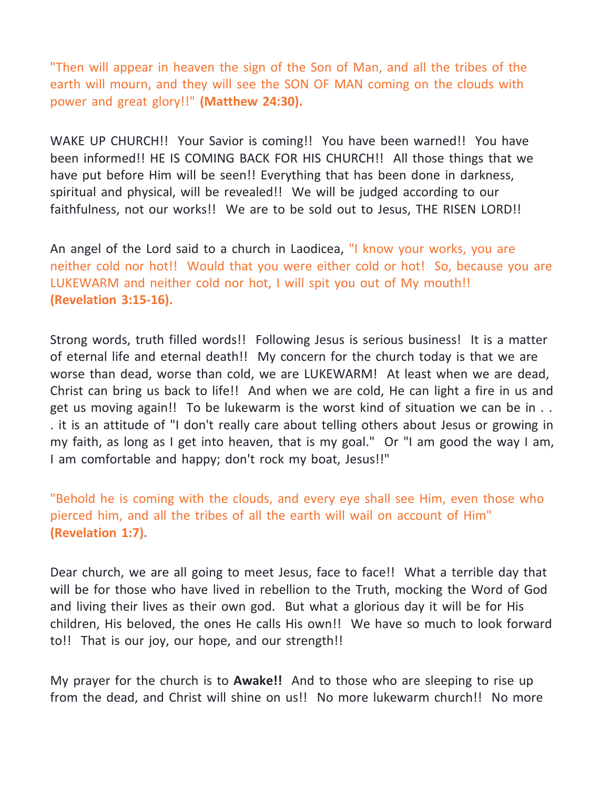"Then will appear in heaven the sign of the Son of Man, and all the tribes of the earth will mourn, and they will see the SON OF MAN coming on the clouds with power and great glory!!" **(Matthew 24:30).**

WAKE UP CHURCH!! Your Savior is coming!! You have been warned!! You have been informed!! HE IS COMING BACK FOR HIS CHURCH!! All those things that we have put before Him will be seen!! Everything that has been done in darkness, spiritual and physical, will be revealed!! We will be judged according to our faithfulness, not our works!! We are to be sold out to Jesus, THE RISEN LORD!!

An angel of the Lord said to a church in Laodicea, "I know your works, you are neither cold nor hot!! Would that you were either cold or hot! So, because you are LUKEWARM and neither cold nor hot, I will spit you out of My mouth!! **(Revelation 3:15-16).**

Strong words, truth filled words!! Following Jesus is serious business! It is a matter of eternal life and eternal death!! My concern for the church today is that we are worse than dead, worse than cold, we are LUKEWARM! At least when we are dead, Christ can bring us back to life!! And when we are cold, He can light a fire in us and get us moving again!! To be lukewarm is the worst kind of situation we can be in . . . it is an attitude of "I don't really care about telling others about Jesus or growing in my faith, as long as I get into heaven, that is my goal." Or "I am good the way I am, I am comfortable and happy; don't rock my boat, Jesus!!"

"Behold he is coming with the clouds, and every eye shall see Him, even those who pierced him, and all the tribes of all the earth will wail on account of Him" **(Revelation 1:7).**

Dear church, we are all going to meet Jesus, face to face!! What a terrible day that will be for those who have lived in rebellion to the Truth, mocking the Word of God and living their lives as their own god. But what a glorious day it will be for His children, His beloved, the ones He calls His own!! We have so much to look forward to!! That is our joy, our hope, and our strength!!

My prayer for the church is to **Awake!!** And to those who are sleeping to rise up from the dead, and Christ will shine on us!! No more lukewarm church!! No more